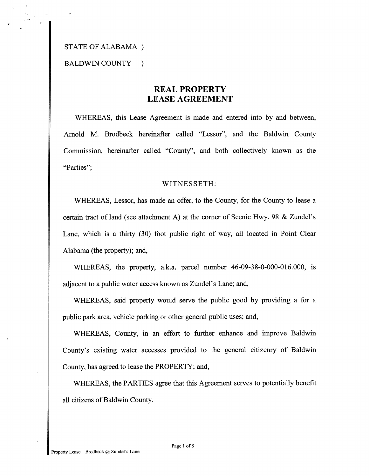## STATE OF ALABAMA )

BALDWIN COUNTY )

# **REAL PROPERTY LEASE AGREEMENT**

WHEREAS, this Lease Agreement is made and entered into by and between, Arnold M. Brodbeck hereinafter called "Lessor", and the Baldwin County Commission, hereinafter called "County", and both collectively known as the "Parties";

### WITNESSETH:

WHEREAS, Lessor, has made an offer, to the County, for the County to lease a certain tract of land (see attachment A) at the comer of Scenic Hwy. 98 & Zundel's Lane, which is a thirty (30) foot public right of way, all located in Point Clear Alabama (the property); and,

WHEREAS, the property, a.k.a. parcel number 46-09-38-0-000-016.000, is adjacent to a public water access known as Zundel's Lane; and,

WHEREAS, said property would serve the public good by providing a for a public park area, vehicle parking or other general public uses; and,

WHEREAS, County, in an effort to further enhance and improve Baldwin County's existing water accesses provided to the general citizenry of Baldwin County, has agreed to lease the PROPERTY; and,

WHEREAS, the PARTIES agree that this Agreement serves to potentially benefit all citizens of Baldwin County.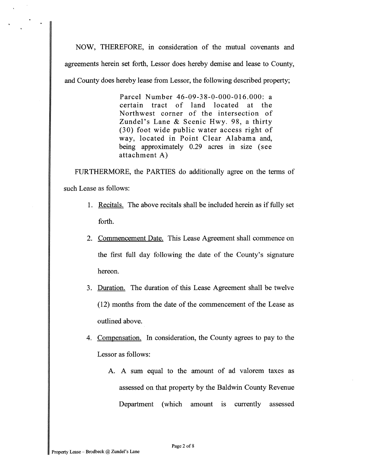NOW, THEREFORE, in consideration of the mutual covenants and agreements herein set forth, Lessor does hereby demise and lease to County, and County does hereby lease from Lessor, the following described property;

> Parcel Number 46-09-38-0-000-016.000: a certain tract of land located at the Northwest corner of the intersection of Zundel's Lane & Scenic Hwy. 98, a thirty (30) foot wide public water access right of way, located in Point Clear Alabama and, being approximately 0.29 acres in size (see attachment A)

FURTHERMORE, the PARTIES do additionally agree on the terms of such Lease as follows:

- 1. Recitals. The above recitals shall be included herein as if fully set forth.
- 2. Commencement Date. This Lease Agreement shall commence on the first full day following the date of the County's signature hereon.
- 3. Duration. The duration of this Lease Agreement shall be twelve  $(12)$  months from the date of the commencement of the Lease as outlined above.
- 4. Compensation. In consideration, the County agrees to pay to the Lessor as follows:
	- A. A sum equal to the amount of ad valorem taxes as assessed on that property by the Baldwin County Revenue Department (which amount is currently assessed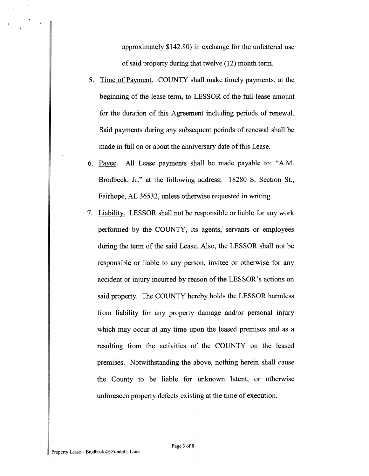approximately \$142.80) in exchange for the unfettered use of said property during that twelve (12) month term.

- 5. Time of Payment. COUNTY shall make timely payments, at the beginning of the lease term, to LESSOR of the full lease amount for the duration of this Agreement including periods of renewal. Said payments during any subsequent periods of renewal shall be made in full on or about the anniversary date of this Lease.
- 6. Payee. All Lease payments shall be made payable to: "A.M. Brodbeck, Jr." at the following address: 18280 S. Section St., Fairhope, AL 36532, unless otherwise requested in writing.
- 7. Liability. LESSOR shall not be responsible or liable for any work performed by the COUNTY, its agents, servants or employees during the term of the said Lease. Also, the LESSOR shall not be responsible or liable to any person, invitee or otherwise for any accident or injury incurred by reason of the LESSOR'S actions on said property. The COUNTY hereby holds the LESSOR harmless from liability for any property damage and/or personal injury which may occur at any time upon the leased premises and as a resulting from the activities of the COUNTY on the leased premises. Notwithstanding the above, nothing herein shall cause the County to be liable for unknown latent, or otherwise unforeseen property defects existing at the time of execution.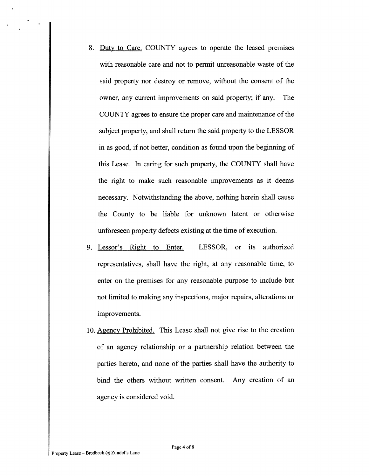- 8. Duty to Care. COUNTY agrees to operate the leased premises with reasonable care and not to permit unreasonable waste of the said property nor destroy or remove, without the consent of the owner, any current improvements on said property; if any. The COUNTY agrees to ensure the proper care and maintenance of the subject property, and shall return the said property to the LESSOR in as good, if not better, condition as found upon the beginning of this Lease. In caring for such property, the COUNTY shall have the right to make such reasonable improvements as it deems necessary. Notwithstanding the above, nothing herein shall cause the County to be liable for unknown latent or otherwise unforeseen property defects existing at the time of execution.
- 9. Lessor's Right to Enter. LESSOR, or its authorized representatives, shall have the right, at any reasonable time, to enter on the premises for any reasonable purpose to include but not limited to making any inspections, major repairs, alterations or improvements.
- 10. Agency Prohibited. This Lease shall not give rise to the creation of an agency relationship or a partnership relation between the parties hereto, and none of the parties shall have the authority to bind the others without written consent. Any creation of an agency is considered void.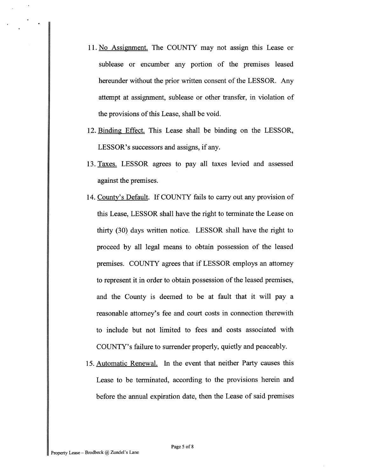- 11. No Assignment. The COUNTY may not assign this Lease or sublease or encumber any portion of the premises leased hereunder without the prior written consent of the LESSOR. Any attempt at assignment, sublease or other transfer, in violation of the provisions of this Lease, shall be void.
- 12. Binding Effect. This Lease shall be binding on the LESSOR, LESSOR'S successors and assigns, if any.
- 13. Taxes. LESSOR agrees to pay all taxes levied and assessed against the premises.
- 14. County's Default. If COUNTY fails to carry out any provision of this Lease, LESSOR shall have the right to terminate the Lease on thirty (30) days written notice. LESSOR shall have the right to proceed by all legal means to obtain possession of the leased premises. COUNTY agrees that if LESSOR employs an attorney to represent it in order to obtain possession of the leased premises, and the County is deemed to be at fault that it will pay a reasonable attorney's fee and court costs in connection therewith to include but not limited to fees and costs associated with COUNTY'S failure to surrender properly, quietly and peaceably.
- 15. Automatic Renewal. In the event that neither Party causes this Lease to be terminated, according to the provisions herein and before the annual expiration date, then the Lease of said premises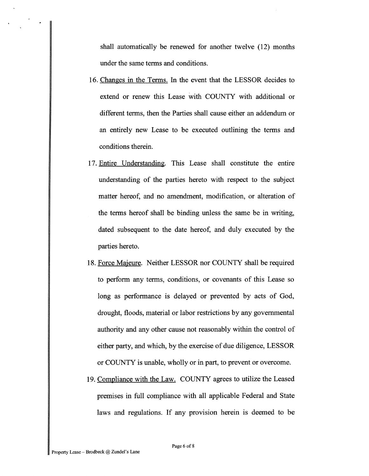shall automatically be renewed for another twelve (12) months under the same terms and conditions.

- 16. Changes in the Terms. In the event that the LESSOR decides to extend or renew this Lease with COUNTY with additional or different terms, then the Parties shall cause either an addendum or an entirely new Lease to be executed outlining the terms and conditions therein.
- 17. Entire Understanding. This Lease shall constitute the entire understanding of the parties hereto with respect to the subject matter hereof, and no amendment, modification, or alteration of the terms hereof shall be binding unless the same be in writing, dated subsequent to the date hereof, and duly executed by the parties hereto.
- 18. Force Maieure. Neither LESSOR nor COUNTY shall be required to perform any terms, conditions, or covenants of this Lease so long as performance is delayed or prevented by acts of God, drought, floods, material or labor restrictions by any governmental authority and any other cause not reasonably within the control of either party, and which, by the exercise of due diligence, LESSOR or COUNTY is unable, wholly or in part, to prevent or overcome.
- 19. Compliance with the Law. COUNTY agrees to utilize the Leased premises in hll compliance with all applicable Federal and State laws and regulations. If any provision herein is deemed to be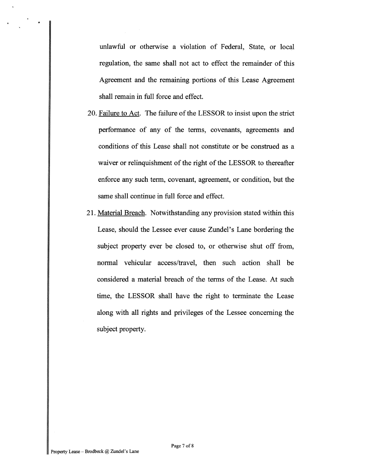unlawful or otherwise a violation of Federal, State, or local regulation, the same shall not act to effect the remainder of this Agreement and the remaining portions of this Lease Agreement shall remain in full force and effect.

- 20. Failure to Act. The failure of the LESSOR to insist upon the strict performance of any of the terms, covenants, agreements and conditions of this Lease shall not constitute or be construed as a waiver or relinquishment of the right of the LESSOR to thereafter enforce any such term, covenant, agreement, or condition, but the same shall continue in full force and effect.
- 2 1. Material Breach. Notwithstanding any provision stated within this Lease, should the Lessee ever cause Zundel's Lane bordering the subject property ever be closed to, or otherwise shut off from, normal vehicular access/travel, then such action shall be considered a material breach of the terms of the Lease. At such time, the LESSOR shall have the right to terminate the Lease along with all rights and privileges of the Lessee concerning the subject property.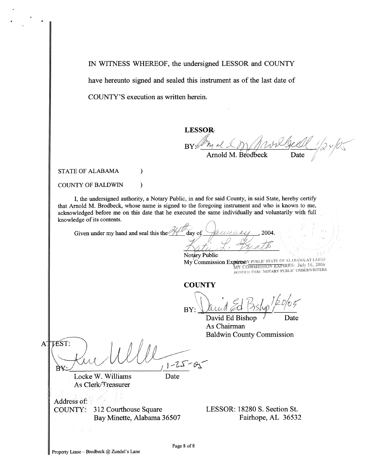IN WITNESS WHEREOF, the undersigned LESSOR and COUNTY have hereunto signed and sealed this instrument as of the last date of COUNTY'S execution as written herein.

# **LESSOR**

 $\mathrm{BY} \mathscr{C}$ Date

Arnold M. Brodbeck

STATE OF ALABAMA (1)

COUNTY OF BALDWIN

I, the undersigned authority, a Notary Public, in and for said County, in said State, hereby certify that Arnold M. Brodbeck, whose name is signed to the foregoing instrument and who is known to me, acknowledged before me on this date that he executed the same individually and voluntarily with full knowledge of its contents.

Given under my hand and seal this theday of

 $\lambda$ 

Notary Public My Commission Expires Y PUBLIC STATE OF ALABASIA AT LARGE MY COMMISSION EXPIRES: July 16, 2006 **MY COMMISSION EARNED, BUT TO REFERS** 

**COUNTY** 

BY:

David Ed Bishop Date As Chairman Baldwin County Commission

TEST:  $\mathbf{A}'$  $1 - 25$ B¥∴

Locke W. Williams Date As Clerk/Treasurer

Address of: 312 Courthouse Square COUNTY:

LESSOR: 18280 S. Section St. Bay Minette, Alabama 36507 Fairhope, AL 36532